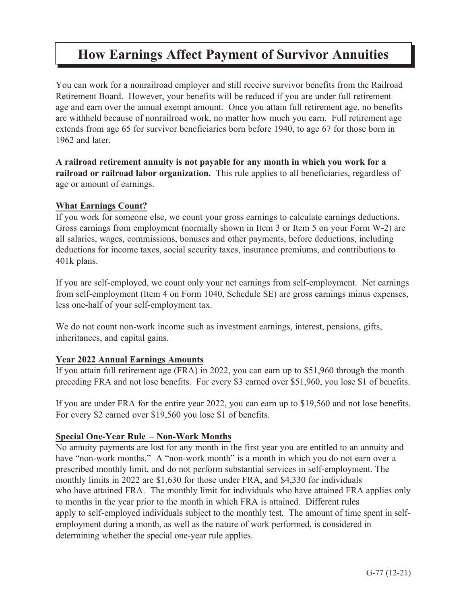# **How Earnings Affect Payment of Survivor Annuities How Earnings Affect Payment of Survivor Annuities**

You can work for a nonrailroad employer and still receive survivor benefits from the Railroad Retirement Board. However, your benefits will be reduced if you are under full retirement age and earn over the annual exempt amount. Once you attain full retirement age, no benefits are withheld because of nonrailroad work, no matter how much you earn. Full retirement age extends from age 65 for survivor beneficiaries born before 1940, to age 67 for those born in 1962 and later.

**A railroad retirement annuity is not payable for any month in which you work for a railroad or railroad labor organization.** This rule applies to all beneficiaries, regardless of age or amount of earnings.

#### **What Earnings Count?**

If you work for someone else, we count your gross earnings to calculate earnings deductions. Gross earnings from employment (normally shown in Item 3 or Item 5 on your Form W-2) are all salaries, wages, commissions, bonuses and other payments, before deductions, including deductions for income taxes, social security taxes, insurance premiums, and contributions to 401k plans.

If you are self-employed, we count only your net earnings from self-employment. Net earnings from self-employment (Item 4 on Form 1040, Schedule SE) are gross earnings minus expenses, less one-half of your self-employment tax.

We do not count non-work income such as investment earnings, interest, pensions, gifts, inheritances, and capital gains.

#### **Year 2022 Annual Earnings Amounts**

If you attain full retirement age (FRA) in 2022, you can earn up to \$51,960 through the month preceding FRA and not lose benefits. For every \$3 earned over \$51,960, you lose \$1 of benefits.

If you are under FRA for the entire year 2022, you can earn up to \$19,560 and not lose benefits. For every \$2 earned over \$19,560 you lose \$1 of benefits.

#### **Special One-Year Rule – Non-Work Months**

No annuity payments are lost for any month in the first year you are entitled to an annuity and have "non-work months." A "non-work month" is a month in which you do not earn over a prescribed monthly limit, and do not perform substantial services in self-employment. The monthly limits in 2022 are \$1,630 for those under FRA, and \$4,330 for individuals who have attained FRA. The monthly limit for individuals who have attained FRA applies only to months in the year prior to the month in which FRA is attained. Different rules apply to self-employed individuals subject to the monthly test. The amount of time spent in selfemployment during a month, as well as the nature of work performed, is considered in determining whether the special one-year rule applies.